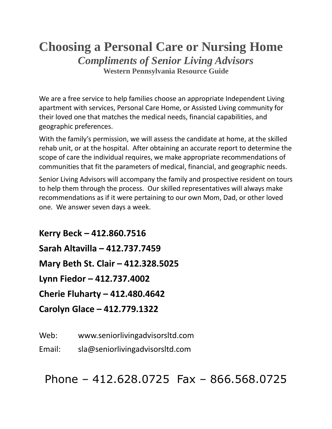## **Choosing a Personal Care or Nursing Home** *Compliments of Senior Living Advisors* **Western Pennsylvania Resource Guide**

We are a free service to help families choose an appropriate Independent Living apartment with services, Personal Care Home, or Assisted Living community for their loved one that matches the medical needs, financial capabilities, and geographic preferences.

With the family's permission, we will assess the candidate at home, at the skilled rehab unit, or at the hospital. After obtaining an accurate report to determine the scope of care the individual requires, we make appropriate recommendations of communities that fit the parameters of medical, financial, and geographic needs.

Senior Living Advisors will accompany the family and prospective resident on tours to help them through the process. Our skilled representatives will always make recommendations as if it were pertaining to our own Mom, Dad, or other loved one. We answer seven days a week.

**Kerry Beck – 412.860.7516 Sarah Altavilla – 412.737.7459 Mary Beth St. Clair – 412.328.5025 Lynn Fiedor – 412.737.4002 Cherie Fluharty – 412.480.4642 Carolyn Glace – 412.779.1322**

Web: www.seniorlivingadvisorsltd.com

Email: sla@seniorlivingadvisorsltd.com

Phone – 412.628.0725 Fax – 866.568.0725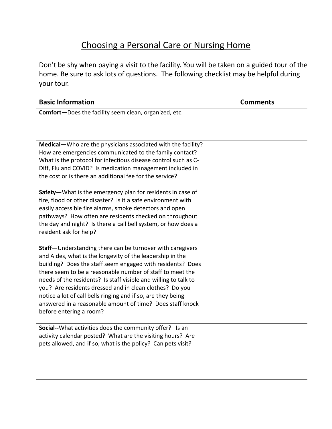## Choosing a Personal Care or Nursing Home

Don't be shy when paying a visit to the facility. You will be taken on a guided tour of the home. Be sure to ask lots of questions. The following checklist may be helpful during your tour.

| <b>Basic Information</b>                                      | <b>Comments</b> |
|---------------------------------------------------------------|-----------------|
| <b>Comfort</b> —Does the facility seem clean, organized, etc. |                 |

**Medical—**Who are the physicians associated with the facility? How are emergencies communicated to the family contact? What is the protocol for infectious disease control such as C-Diff, Flu and COVID? Is medication management included in the cost or is there an additional fee for the service?

**Safety—**What is the emergency plan for residents in case of fire, flood or other disaster? Is it a safe environment with easily accessible fire alarms, smoke detectors and open pathways? How often are residents checked on throughout the day and night? Is there a call bell system, or how does a resident ask for help?

**Staff—**Understanding there can be turnover with caregivers and Aides, what is the longevity of the leadership in the building? Does the staff seem engaged with residents? Does there seem to be a reasonable number of staff to meet the needs of the residents? Is staff visible and willing to talk to you? Are residents dressed and in clean clothes? Do you notice a lot of call bells ringing and if so, are they being answered in a reasonable amount of time? Does staff knock before entering a room?

**Social--**What activities does the community offer? Is an activity calendar posted? What are the visiting hours? Are pets allowed, and if so, what is the policy? Can pets visit?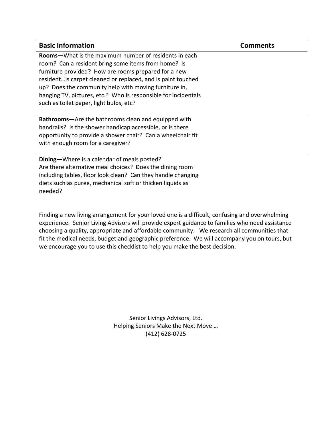| <b>Basic Information</b>                                       | <b>Comments</b> |
|----------------------------------------------------------------|-----------------|
| Rooms-What is the maximum number of residents in each          |                 |
| room? Can a resident bring some items from home? Is            |                 |
| furniture provided? How are rooms prepared for a new           |                 |
| resident is carpet cleaned or replaced, and is paint touched   |                 |
| up? Does the community help with moving furniture in,          |                 |
| hanging TV, pictures, etc.? Who is responsible for incidentals |                 |
| such as toilet paper, light bulbs, etc?                        |                 |
| Bathrooms-Are the bathrooms clean and equipped with            |                 |
| handrails? Is the shower handicap accessible, or is there      |                 |
| opportunity to provide a shower chair? Can a wheelchair fit    |                 |
| with enough room for a caregiver?                              |                 |
| Dining-Where is a calendar of meals posted?                    |                 |
| Are there alternative meal choices? Does the dining room       |                 |

Are there alternative meal choices? Does the dining room including tables, floor look clean? Can they handle changing diets such as puree, mechanical soft or thicken liquids as needed?

Finding a new living arrangement for your loved one is a difficult, confusing and overwhelming experience. Senior Living Advisors will provide expert guidance to families who need assistance choosing a quality, appropriate and affordable community. We research all communities that fit the medical needs, budget and geographic preference. We will accompany you on tours, but we encourage you to use this checklist to help you make the best decision.

> Senior Livings Advisors, Ltd. Helping Seniors Make the Next Move … (412) 628-0725